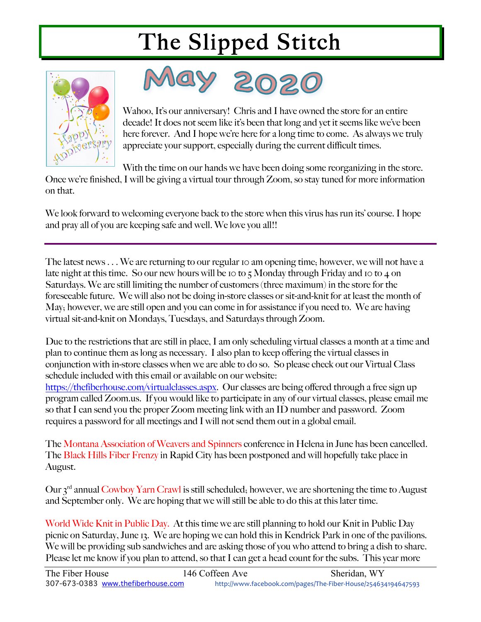



Wahoo, It's our anniversary! Chris and I have owned the store for an entire decade! It does not seem like it's been that long and yet it seems like we've been here forever. And I hope we're here for a long time to come. As always we truly appreciate your support, especially during the current difficult times.

With the time on our hands we have been doing some reorganizing in the store.

Once we're finished, I will be giving a virtual tour through Zoom, so stay tuned for more information on that.

We look forward to welcoming everyone back to the store when this virus has run its' course. I hope and pray all of you are keeping safe and well. We love you all!!

The latest news . . . We are returning to our regular 10 am opening time; however, we will not have a late night at this time. So our new hours will be 10 to 5 Monday through Friday and 10 to 4 on Saturdays. We are still limiting the number of customers (three maximum) in the store for the foreseeable future. We will also not be doing in-store classes or sit-and-knit for at least the month of May; however, we are still open and you can come in for assistance if you need to. We are having virtual sit-and-knit on Mondays, Tuesdays, and Saturdays through Zoom.

Due to the restrictions that are still in place, I am only scheduling virtual classes a month at a time and plan to continue them as long as necessary. I also plan to keep offering the virtual classes in conjunction with in-store classes when we are able to do so. So please check out our Virtual Class schedule included with this email or available on our website:

https://thefiberhouse.com/virtualclasses.aspx. Our classes are being offered through a free sign up program called Zoom.us. If you would like to participate in any of our virtual classes, please email me so that I can send you the proper Zoom meeting link with an ID number and password. Zoom requires a password for all meetings and I will not send them out in a global email.

The Montana Association of Weavers and Spinners conference in Helena in June has been cancelled. The Black Hills Fiber Frenzy in Rapid City has been postponed and will hopefully take place in August.

Our 3<sup>rd</sup> annual Cowboy Yarn Crawl is still scheduled; however, we are shortening the time to August and September only. We are hoping that we will still be able to do this at this later time.

World Wide Knit in Public Day. At this time we are still planning to hold our Knit in Public Day picnic on Saturday, June 13. We are hoping we can hold this in Kendrick Park in one of the pavilions. We will be providing sub sandwiches and are asking those of you who attend to bring a dish to share. Please let me know if you plan to attend, so that I can get a head count for the subs. This year more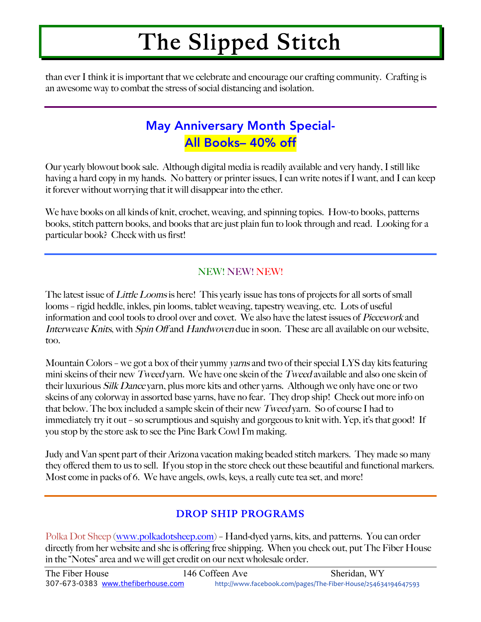than ever I think it is important that we celebrate and encourage our crafting community. Crafting is an awesome way to combat the stress of social distancing and isolation.

### May Anniversary Month Special-All Books– 40% off

Our yearly blowout book sale. Although digital media is readily available and very handy, I still like having a hard copy in my hands. No battery or printer issues, I can write notes if I want, and I can keep it forever without worrying that it will disappear into the ether.

We have books on all kinds of knit, crochet, weaving, and spinning topics. How-to books, patterns books, stitch pattern books, and books that are just plain fun to look through and read. Looking for a particular book? Check with us first!

#### NEW! NEW! NEW!

The latest issue of *Little Looms* is here! This yearly issue has tons of projects for all sorts of small looms – rigid heddle, inkles, pin looms, tablet weaving, tapestry weaving, etc. Lots of useful information and cool tools to drool over and covet. We also have the latest issues of Piecework and Interweave Knits, with Spin Off and Handwoven due in soon. These are all available on our website, too.

Mountain Colors – we got a box of their yummy *varns* and two of their special LYS day kits featuring mini skeins of their new Tweed yarn. We have one skein of the Tweed available and also one skein of their luxurious Silk Dance yarn, plus more kits and other yarns. Although we only have one or two skeins of any colorway in assorted base yarns, have no fear. They drop ship! Check out more info on that below. The box included a sample skein of their new Tweed yarn. So of course I had to immediately try it out – so scrumptious and squishy and gorgeous to knit with. Yep, it's that good! If you stop by the store ask to see the Pine Bark Cowl I'm making.

Judy and Van spent part of their Arizona vacation making beaded stitch markers. They made so many they offered them to us to sell. If you stop in the store check out these beautiful and functional markers. Most come in packs of 6. We have angels, owls, keys, a really cute tea set, and more!

#### DROP SHIP PROGRAMS

Polka Dot Sheep (www.polkadotsheep.com) – Hand-dyed yarns, kits, and patterns. You can order directly from her website and she is offering free shipping. When you check out, put The Fiber House in the "Notes" area and we will get credit on our next wholesale order.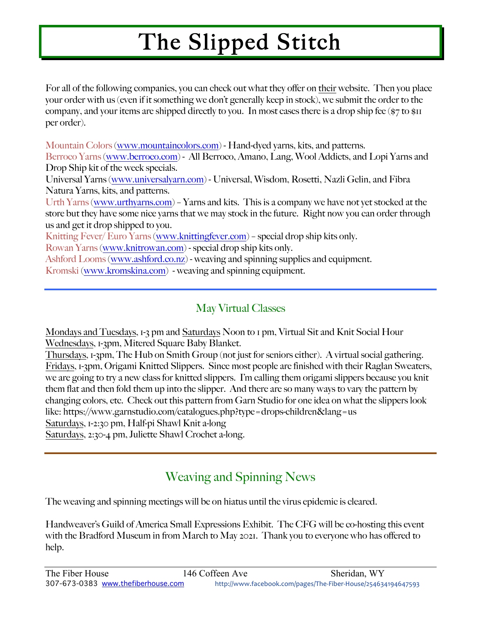For all of the following companies, you can check out what they offer on their website. Then you place your order with us (even if it something we don't generally keep in stock), we submit the order to the company, and your items are shipped directly to you. In most cases there is a drop ship fee (\$7 to \$11 per order).

Mountain Colors (www.mountaincolors.com) - Hand-dyed yarns, kits, and patterns.

Berroco Yarns (www.berroco.com) - All Berroco, Amano, Lang, Wool Addicts, and Lopi Yarns and Drop Ship kit of the week specials.

Universal Yarns (www.universalyarn.com) - Universal, Wisdom, Rosetti, Nazli Gelin, and Fibra Natura Yarns, kits, and patterns.

Urth Yarns (www.urthyarns.com) – Yarns and kits. This is a company we have not yet stocked at the store but they have some nice yarns that we may stock in the future. Right now you can order through us and get it drop shipped to you.

Knitting Fever/ Euro Yarns (www.knittingfever.com) – special drop ship kits only.

Rowan Yarns (www.knitrowan.com) - special drop ship kits only.

Ashford Looms (www.ashford.co.nz) - weaving and spinning supplies and equipment.

Kromski (www.kromskina.com) - weaving and spinning equipment.

#### May Virtual Classes

Mondays and Tuesdays, 1-3 pm and Saturdays Noon to 1 pm, Virtual Sit and Knit Social Hour Wednesdays, 1-3pm, Mitered Square Baby Blanket.

Thursdays, 1-3pm, The Hub on Smith Group (not just for seniors either). A virtual social gathering. Fridays, 1-3pm, Origami Knitted Slippers. Since most people are finished with their Raglan Sweaters, we are going to try a new class for knitted slippers. I'm calling them origami slippers because you knit them flat and then fold them up into the slipper. And there are so many ways to vary the pattern by changing colors, etc. Check out this pattern from Garn Studio for one idea on what the slippers look like: https://www.garnstudio.com/catalogues.php?type=drops-children&lang=us Saturdays, 1-2:30 pm, Half-pi Shawl Knit a-long

Saturdays, 2:30-4 pm, Juliette Shawl Crochet a-long.

### Weaving and Spinning News

The weaving and spinning meetings will be on hiatus until the virus epidemic is cleared.

Handweaver's Guild of America Small Expressions Exhibit. The CFG will be co-hosting this event with the Bradford Museum in from March to May 2021. Thank you to everyone who has offered to help.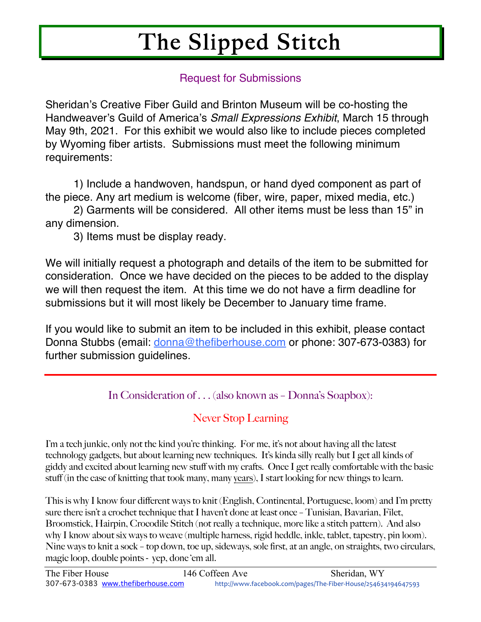#### Request for Submissions

Sheridan's Creative Fiber Guild and Brinton Museum will be co-hosting the Handweaver's Guild of America's *Small Expressions Exhibit*, March 15 through May 9th, 2021. For this exhibit we would also like to include pieces completed by Wyoming fiber artists. Submissions must meet the following minimum requirements:

1) Include a handwoven, handspun, or hand dyed component as part of the piece. Any art medium is welcome (fiber, wire, paper, mixed media, etc.)

2) Garments will be considered. All other items must be less than 15" in any dimension.

3) Items must be display ready.

We will initially request a photograph and details of the item to be submitted for consideration. Once we have decided on the pieces to be added to the display we will then request the item. At this time we do not have a firm deadline for submissions but it will most likely be December to January time frame.

If you would like to submit an item to be included in this exhibit, please contact Donna Stubbs (email: donna@thefiberhouse.com or phone: 307-673-0383) for further submission guidelines.

In Consideration of . . . (also known as – Donna's Soapbox):

#### Never Stop Learning

I'm a tech junkie, only not the kind you're thinking. For me, it's not about having all the latest technology gadgets, but about learning new techniques. It's kinda silly really but I get all kinds of giddy and excited about learning new stuff with my crafts. Once I get really comfortable with the basic stuff (in the case of knitting that took many, many years), I start looking for new things to learn.

This is why I know four different ways to knit (English, Continental, Portuguese, loom) and I'm pretty sure there isn't a crochet technique that I haven't done at least once – Tunisian, Bavarian, Filet, Broomstick, Hairpin, Crocodile Stitch (not really a technique, more like a stitch pattern). And also why I know about six ways to weave (multiple harness, rigid heddle, inkle, tablet, tapestry, pin loom). Nine ways to knit a sock – top down, toe up, sideways, sole first, at an angle, on straights, two circulars, magic loop, double points - yep, done 'em all.